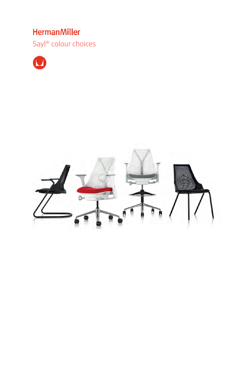**HermanMiller** 

Sayl® colour choices



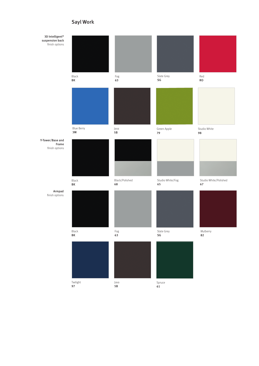## Sayl Work

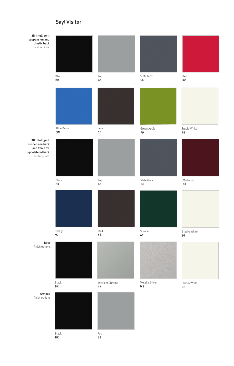## Sayl Visitor

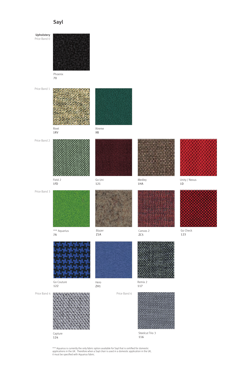## Sayl



\*\*\* Aquarius is currently the only fabric option available for Sayl that is certified for domestic<br>applications in the UK. Therefore when a Sayl chair is used in a domestic application in the UK,<br>it must be specified with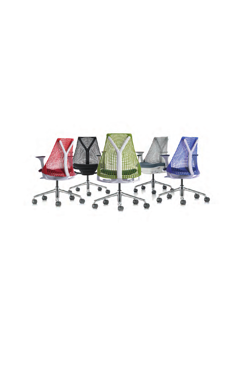